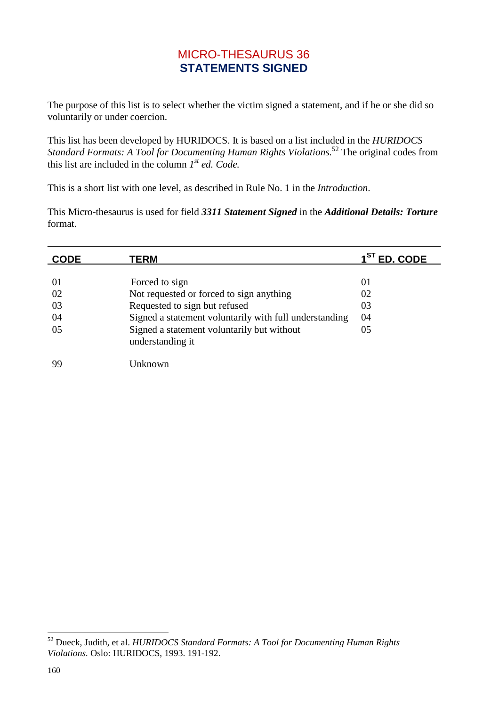## MICRO-THESAURUS 36 **STATEMENTS SIGNED**

The purpose of this list is to select whether the victim signed a statement, and if he or she did so voluntarily or under coercion.

This list has been developed by HURIDOCS. It is based on a list included in the *HURIDOCS Standard Formats: A Tool for Documenting Human Rights Violations.*<sup>52</sup> The original codes from this list are included in the column *1 st ed. Code.*

This is a short list with one level, as described in Rule No. 1 in the *Introduction*.

This Micro-thesaurus is used for field *3311 Statement Signed* in the *Additional Details: Torture* format.

| <b>CODE</b> | TERM                                                           | $1ST$ ED. CODE |
|-------------|----------------------------------------------------------------|----------------|
|             |                                                                |                |
| 01          | Forced to sign                                                 | 01             |
| 02          | Not requested or forced to sign anything                       | 02             |
| 03          | Requested to sign but refused                                  | 03             |
| 04          | Signed a statement voluntarily with full understanding         | 04             |
| 05          | Signed a statement voluntarily but without<br>understanding it | 05             |
| 99          | Unknown                                                        |                |

-

<sup>52</sup> Dueck, Judith, et al. *HURIDOCS Standard Formats: A Tool for Documenting Human Rights Violations.* Oslo: HURIDOCS, 1993. 191-192.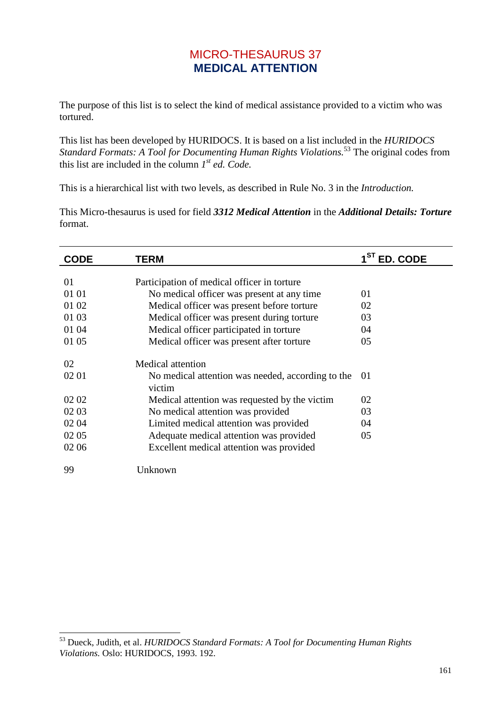## MICRO-THESAURUS 37 **MEDICAL ATTENTION**

The purpose of this list is to select the kind of medical assistance provided to a victim who was tortured.

This list has been developed by HURIDOCS. It is based on a list included in the *HURIDOCS Standard Formats: A Tool for Documenting Human Rights Violations.*<sup>53</sup> The original codes from this list are included in the column *1 st ed. Code.*

This is a hierarchical list with two levels, as described in Rule No. 3 in the *Introduction.*

This Micro-thesaurus is used for field *3312 Medical Attention* in the *Additional Details: Torture* format.

| <b>CODE</b> | TERM                                                        | $1ST$ ED. CODE |
|-------------|-------------------------------------------------------------|----------------|
|             |                                                             |                |
| 01          | Participation of medical officer in torture                 |                |
| 01 01       | No medical officer was present at any time                  | 01             |
| 01 02       | Medical officer was present before torture                  | 02             |
| 01 03       | Medical officer was present during torture                  | 03             |
| 01 04       | Medical officer participated in torture                     | 04             |
| 01 05       | Medical officer was present after torture                   | 05             |
| 02          | <b>Medical attention</b>                                    |                |
| 02 01       | No medical attention was needed, according to the<br>victim | 01             |
| 02 02       | Medical attention was requested by the victim               | 02             |
| 02 03       | No medical attention was provided                           | 03             |
| 02 04       | Limited medical attention was provided                      | 04             |
| 02 05       | Adequate medical attention was provided                     | 05             |
| 02 06       | Excellent medical attention was provided                    |                |
| 99          | Unknown                                                     |                |

 $\overline{a}$ 

<sup>53</sup> Dueck, Judith, et al. *HURIDOCS Standard Formats: A Tool for Documenting Human Rights Violations.* Oslo: HURIDOCS, 1993. 192.